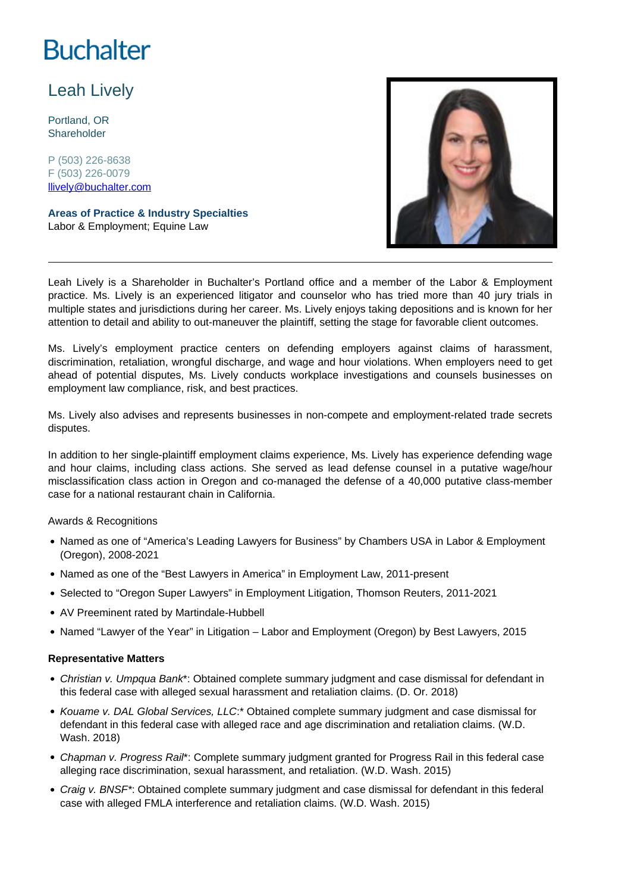# **Buchalter**

## Leah Lively

Portland, OR **Shareholder** 

P (503) 226-8638 F (503) 226-0079 llively@buchalter.com

**Areas of Practice & Industry Specialties** Labor & Employment; Equine Law



Leah Lively is a Shareholder in Buchalter's Portland office and a member of the Labor & Employment practice. Ms. Lively is an experienced litigator and counselor who has tried more than 40 jury trials in multiple states and jurisdictions during her career. Ms. Lively enjoys taking depositions and is known for her attention to detail and ability to out-maneuver the plaintiff, setting the stage for favorable client outcomes.

Ms. Lively's employment practice centers on defending employers against claims of harassment, discrimination, retaliation, wrongful discharge, and wage and hour violations. When employers need to get ahead of potential disputes, Ms. Lively conducts workplace investigations and counsels businesses on employment law compliance, risk, and best practices.

Ms. Lively also advises and represents businesses in non-compete and employment-related trade secrets disputes.

In addition to her single-plaintiff employment claims experience, Ms. Lively has experience defending wage and hour claims, including class actions. She served as lead defense counsel in a putative wage/hour misclassification class action in Oregon and co-managed the defense of a 40,000 putative class-member case for a national restaurant chain in California.

#### Awards & Recognitions

- Named as one of "America's Leading Lawyers for Business" by Chambers USA in Labor & Employment (Oregon), 2008-2021
- Named as one of the "Best Lawyers in America" in Employment Law, 2011-present
- Selected to "Oregon Super Lawyers" in Employment Litigation, Thomson Reuters, 2011-2021
- AV Preeminent rated by Martindale-Hubbell
- Named "Lawyer of the Year" in Litigation Labor and Employment (Oregon) by Best Lawyers, 2015

#### **Representative Matters**

- Christian v. Umpqua Bank\*: Obtained complete summary judgment and case dismissal for defendant in this federal case with alleged sexual harassment and retaliation claims. (D. Or. 2018)
- Kouame v. DAL Global Services, LLC:\* Obtained complete summary judgment and case dismissal for defendant in this federal case with alleged race and age discrimination and retaliation claims. (W.D. Wash. 2018)
- Chapman v. Progress Rair\*: Complete summary judgment granted for Progress Rail in this federal case alleging race discrimination, sexual harassment, and retaliation. (W.D. Wash. 2015)
- Craig v. BNSF\*: Obtained complete summary judgment and case dismissal for defendant in this federal case with alleged FMLA interference and retaliation claims. (W.D. Wash. 2015)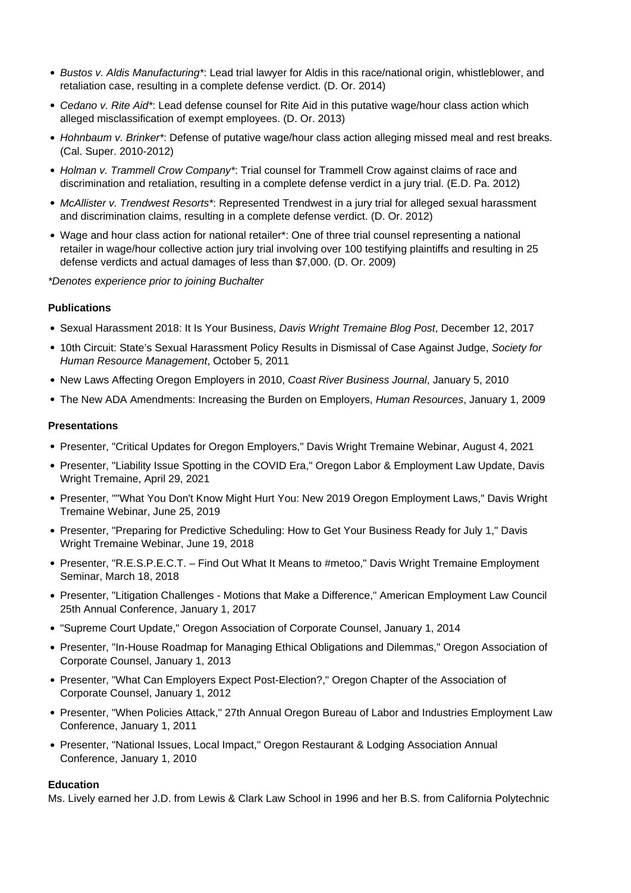- Bustos v. Aldis Manufacturing\*: Lead trial lawyer for Aldis in this race/national origin, whistleblower, and retaliation case, resulting in a complete defense verdict. (D. Or. 2014)
- Cedano v. Rite Aid\*: Lead defense counsel for Rite Aid in this putative wage/hour class action which alleged misclassification of exempt employees. (D. Or. 2013)
- Hohnbaum v. Brinker\*: Defense of putative wage/hour class action alleging missed meal and rest breaks. (Cal. Super. 2010-2012)
- Holman v. Trammell Crow Company\*: Trial counsel for Trammell Crow against claims of race and discrimination and retaliation, resulting in a complete defense verdict in a jury trial. (E.D. Pa. 2012)
- McAllister v. Trendwest Resorts\*: Represented Trendwest in a jury trial for alleged sexual harassment and discrimination claims, resulting in a complete defense verdict. (D. Or. 2012)
- Wage and hour class action for national retailer\*: One of three trial counsel representing a national retailer in wage/hour collective action jury trial involving over 100 testifying plaintiffs and resulting in 25 defense verdicts and actual damages of less than \$7,000. (D. Or. 2009)
- \*Denotes experience prior to joining Buchalter

#### **Publications**

- Sexual Harassment 2018: It Is Your Business, Davis Wright Tremaine Blog Post, December 12, 2017
- 10th Circuit: State's Sexual Harassment Policy Results in Dismissal of Case Against Judge, Society for Human Resource Management, October 5, 2011
- New Laws Affecting Oregon Employers in 2010, Coast River Business Journal, January 5, 2010
- The New ADA Amendments: Increasing the Burden on Employers, Human Resources, January 1, 2009

#### **Presentations**

- Presenter, "Critical Updates for Oregon Employers," Davis Wright Tremaine Webinar, August 4, 2021
- Presenter, "Liability Issue Spotting in the COVID Era," Oregon Labor & Employment Law Update, Davis Wright Tremaine, April 29, 2021
- Presenter, ""What You Don't Know Might Hurt You: New 2019 Oregon Employment Laws," Davis Wright Tremaine Webinar, June 25, 2019
- Presenter, "Preparing for Predictive Scheduling: How to Get Your Business Ready for July 1," Davis Wright Tremaine Webinar, June 19, 2018
- Presenter, "R.E.S.P.E.C.T. Find Out What It Means to #metoo," Davis Wright Tremaine Employment Seminar, March 18, 2018
- Presenter, "Litigation Challenges Motions that Make a Difference," American Employment Law Council 25th Annual Conference, January 1, 2017
- "Supreme Court Update," Oregon Association of Corporate Counsel, January 1, 2014
- Presenter, "In-House Roadmap for Managing Ethical Obligations and Dilemmas," Oregon Association of Corporate Counsel, January 1, 2013
- Presenter, "What Can Employers Expect Post-Election?," Oregon Chapter of the Association of Corporate Counsel, January 1, 2012
- Presenter, "When Policies Attack," 27th Annual Oregon Bureau of Labor and Industries Employment Law Conference, January 1, 2011
- Presenter, "National Issues, Local Impact," Oregon Restaurant & Lodging Association Annual Conference, January 1, 2010

#### **Education**

Ms. Lively earned her J.D. from Lewis & Clark Law School in 1996 and her B.S. from California Polytechnic